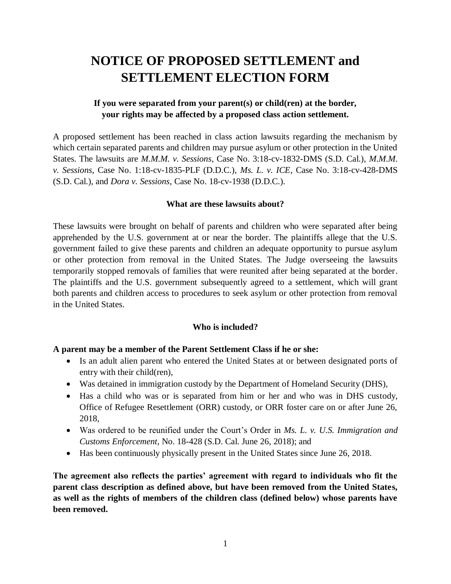# **NOTICE OF PROPOSED SETTLEMENT and SETTLEMENT ELECTION FORM**

## **If you were separated from your parent(s) or child(ren) at the border, your rights may be affected by a proposed class action settlement.**

A proposed settlement has been reached in class action lawsuits regarding the mechanism by which certain separated parents and children may pursue asylum or other protection in the United States. The lawsuits are *M.M.M. v. Sessions*, Case No. 3:18-cv-1832-DMS (S.D. Cal.), *M.M.M. v. Sessions*, Case No. 1:18-cv-1835-PLF (D.D.C.), *Ms. L. v. ICE*, Case No. 3:18-cv-428-DMS (S.D. Cal.), and *Dora v. Sessions*, Case No. 18-cv-1938 (D.D.C.).

## **What are these lawsuits about?**

These lawsuits were brought on behalf of parents and children who were separated after being apprehended by the U.S. government at or near the border. The plaintiffs allege that the U.S. government failed to give these parents and children an adequate opportunity to pursue asylum or other protection from removal in the United States. The Judge overseeing the lawsuits temporarily stopped removals of families that were reunited after being separated at the border. The plaintiffs and the U.S. government subsequently agreed to a settlement, which will grant both parents and children access to procedures to seek asylum or other protection from removal in the United States.

## **Who is included?**

## **A parent may be a member of the Parent Settlement Class if he or she:**

- Is an adult alien parent who entered the United States at or between designated ports of entry with their child(ren),
- Was detained in immigration custody by the Department of Homeland Security (DHS),
- Has a child who was or is separated from him or her and who was in DHS custody, Office of Refugee Resettlement (ORR) custody, or ORR foster care on or after June 26, 2018,
- Was ordered to be reunified under the Court's Order in *Ms. L. v. U.S. Immigration and Customs Enforcement*, No. 18-428 (S.D. Cal. June 26, 2018); and
- Has been continuously physically present in the United States since June 26, 2018.

**The agreement also reflects the parties' agreement with regard to individuals who fit the parent class description as defined above, but have been removed from the United States, as well as the rights of members of the children class (defined below) whose parents have been removed.**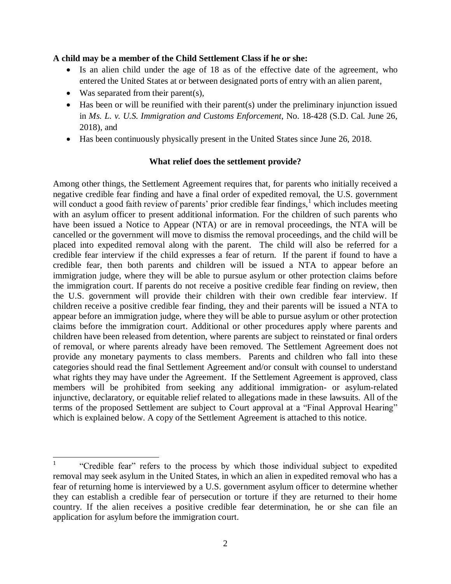## **A child may be a member of the Child Settlement Class if he or she:**

- Is an alien child under the age of 18 as of the effective date of the agreement, who entered the United States at or between designated ports of entry with an alien parent,
- Was separated from their parent(s),

 $\overline{a}$ 

- Has been or will be reunified with their parent(s) under the preliminary injunction issued in *Ms. L. v. U.S. Immigration and Customs Enforcement*, No. 18-428 (S.D. Cal. June 26, 2018), and
- Has been continuously physically present in the United States since June 26, 2018.

## **What relief does the settlement provide?**

Among other things, the Settlement Agreement requires that, for parents who initially received a negative credible fear finding and have a final order of expedited removal, the U.S. government will conduct a good faith review of parents' prior credible fear findings,<sup>1</sup> which includes meeting with an asylum officer to present additional information. For the children of such parents who have been issued a Notice to Appear (NTA) or are in removal proceedings, the NTA will be cancelled or the government will move to dismiss the removal proceedings, and the child will be placed into expedited removal along with the parent. The child will also be referred for a credible fear interview if the child expresses a fear of return. If the parent if found to have a credible fear, then both parents and children will be issued a NTA to appear before an immigration judge, where they will be able to pursue asylum or other protection claims before the immigration court. If parents do not receive a positive credible fear finding on review, then the U.S. government will provide their children with their own credible fear interview. If children receive a positive credible fear finding, they and their parents will be issued a NTA to appear before an immigration judge, where they will be able to pursue asylum or other protection claims before the immigration court. Additional or other procedures apply where parents and children have been released from detention, where parents are subject to reinstated or final orders of removal, or where parents already have been removed. The Settlement Agreement does not provide any monetary payments to class members. Parents and children who fall into these categories should read the final Settlement Agreement and/or consult with counsel to understand what rights they may have under the Agreement. If the Settlement Agreement is approved, class members will be prohibited from seeking any additional immigration- or asylum-related injunctive, declaratory, or equitable relief related to allegations made in these lawsuits. All of the terms of the proposed Settlement are subject to Court approval at a "Final Approval Hearing" which is explained below. A copy of the Settlement Agreement is attached to this notice.

<sup>1</sup> "Credible fear" refers to the process by which those individual subject to expedited removal may seek asylum in the United States, in which an alien in expedited removal who has a fear of returning home is interviewed by a U.S. government asylum officer to determine whether they can establish a credible fear of persecution or torture if they are returned to their home country. If the alien receives a positive credible fear determination, he or she can file an application for asylum before the immigration court.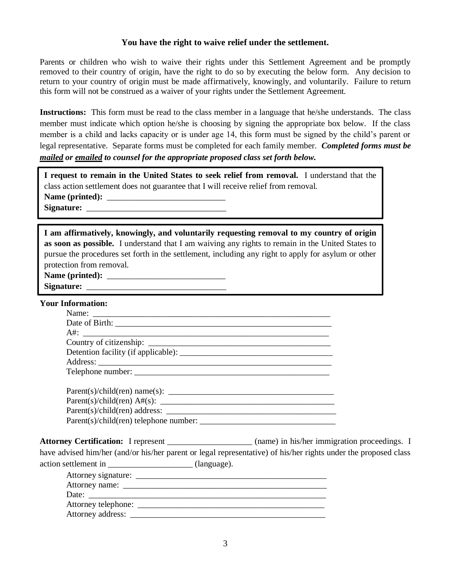## **You have the right to waive relief under the settlement.**

Parents or children who wish to waive their rights under this Settlement Agreement and be promptly removed to their country of origin, have the right to do so by executing the below form. Any decision to return to your country of origin must be made affirmatively, knowingly, and voluntarily. Failure to return this form will not be construed as a waiver of your rights under the Settlement Agreement.

**Instructions:** This form must be read to the class member in a language that he/she understands. The class member must indicate which option he/she is choosing by signing the appropriate box below. If the class member is a child and lacks capacity or is under age 14, this form must be signed by the child's parent or legal representative. Separate forms must be completed for each family member. *Completed forms must be mailed or emailed to counsel for the appropriate proposed class set forth below.*

| I request to remain in the United States to seek relief from removal. I understand that the |  |  |  |  |
|---------------------------------------------------------------------------------------------|--|--|--|--|
| class action settlement does not guarantee that I will receive relief from removal.         |  |  |  |  |
|                                                                                             |  |  |  |  |
|                                                                                             |  |  |  |  |

| I am affirmatively, knowingly, and voluntarily requesting removal to my country of origin           |
|-----------------------------------------------------------------------------------------------------|
| as soon as possible. I understand that I am waiving any rights to remain in the United States to    |
| pursue the procedures set forth in the settlement, including any right to apply for asylum or other |
| protection from removal.                                                                            |

| Name (printed) |
|----------------|
|                |

Signature:

#### **Your Information:**

| $Parent(s)/child(en)$ telephone number: |  |  |
|-----------------------------------------|--|--|

Attorney Certification: I represent \_\_\_\_\_\_\_\_\_\_\_\_\_\_\_\_\_\_\_ (name) in his/her immigration proceedings. I have advised him/her (and/or his/her parent or legal representative) of his/her rights under the proposed class action settlement in  $\qquad \qquad$  (language).

| Attorney signature: |  |
|---------------------|--|
|                     |  |
| Date:               |  |
| Attorney telephone: |  |
| Attorney address: _ |  |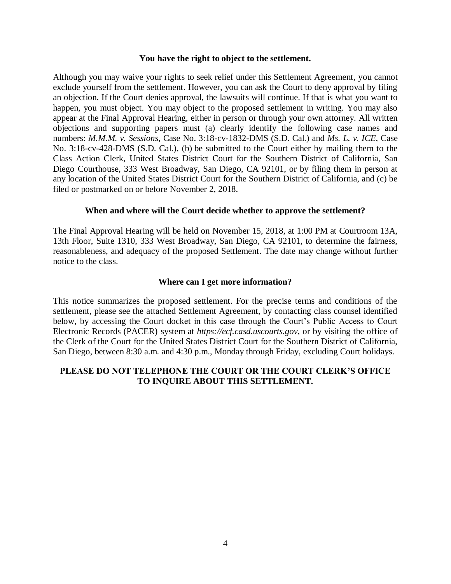#### **You have the right to object to the settlement.**

Although you may waive your rights to seek relief under this Settlement Agreement, you cannot exclude yourself from the settlement. However, you can ask the Court to deny approval by filing an objection. If the Court denies approval, the lawsuits will continue. If that is what you want to happen, you must object. You may object to the proposed settlement in writing. You may also appear at the Final Approval Hearing, either in person or through your own attorney. All written objections and supporting papers must (a) clearly identify the following case names and numbers: *M.M.M. v. Sessions*, Case No. 3:18-cv-1832-DMS (S.D. Cal.) and *Ms. L. v. ICE*, Case No. 3:18-cv-428-DMS (S.D. Cal.), (b) be submitted to the Court either by mailing them to the Class Action Clerk, United States District Court for the Southern District of California, San Diego Courthouse, 333 West Broadway, San Diego, CA 92101, or by filing them in person at any location of the United States District Court for the Southern District of California, and (c) be filed or postmarked on or before November 2, 2018.

## **When and where will the Court decide whether to approve the settlement?**

The Final Approval Hearing will be held on November 15, 2018, at 1:00 PM at Courtroom 13A, 13th Floor, Suite 1310, 333 West Broadway, San Diego, CA 92101, to determine the fairness, reasonableness, and adequacy of the proposed Settlement. The date may change without further notice to the class.

## **Where can I get more information?**

This notice summarizes the proposed settlement. For the precise terms and conditions of the settlement, please see the attached Settlement Agreement, by contacting class counsel identified below, by accessing the Court docket in this case through the Court's Public Access to Court Electronic Records (PACER) system at *https://ecf.casd.uscourts.gov*, or by visiting the office of the Clerk of the Court for the United States District Court for the Southern District of California, San Diego, between 8:30 a.m. and 4:30 p.m., Monday through Friday, excluding Court holidays.

## **PLEASE DO NOT TELEPHONE THE COURT OR THE COURT CLERK'S OFFICE TO INQUIRE ABOUT THIS SETTLEMENT.**